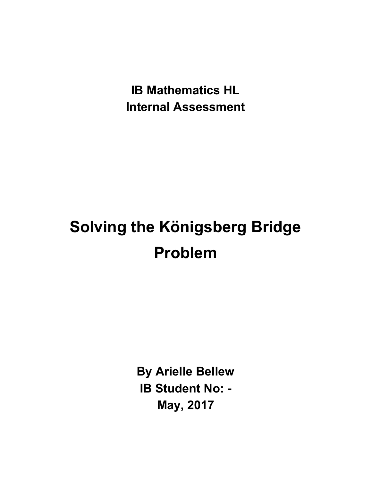**IB Mathematics HL Internal Assessment**

# **Solving the Königsberg Bridge Problem**

**By Arielle Bellew IB Student No: - May, 2017**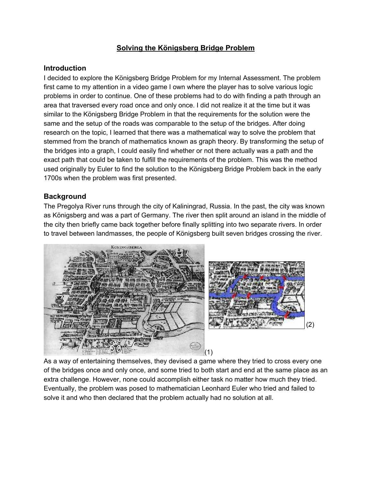# **Solving the Königsberg Bridge Problem**

### **Introduction**

I decided to explore the Königsberg Bridge Problem for my Internal Assessment. The problem first came to my attention in a video game I own where the player has to solve various logic problems in order to continue. One of these problems had to do with finding a path through an area that traversed every road once and only once. I did not realize it at the time but it was similar to the Königsberg Bridge Problem in that the requirements for the solution were the same and the setup of the roads was comparable to the setup of the bridges. After doing research on the topic, I learned that there was a mathematical way to solve the problem that stemmed from the branch of mathematics known as graph theory. By transforming the setup of the bridges into a graph, I could easily find whether or not there actually was a path and the exact path that could be taken to fulfill the requirements of the problem. This was the method used originally by Euler to find the solution to the Königsberg Bridge Problem back in the early 1700s when the problem was first presented.

## **Background**

The Pregolya River runs through the city of Kaliningrad, Russia. In the past, the city was known as Königsberg and was a part of Germany. The river then split around an island in the middle of the city then briefly came back together before finally splitting into two separate rivers. In order to travel between landmasses, the people of Königsberg built seven bridges crossing the river.



As a way of entertaining themselves, they devised a game where they tried to cross every one of the bridges once and only once, and some tried to both start and end at the same place as an extra challenge. However, none could accomplish either task no matter how much they tried. Eventually, the problem was posed to mathematician Leonhard Euler who tried and failed to solve it and who then declared that the problem actually had no solution at all.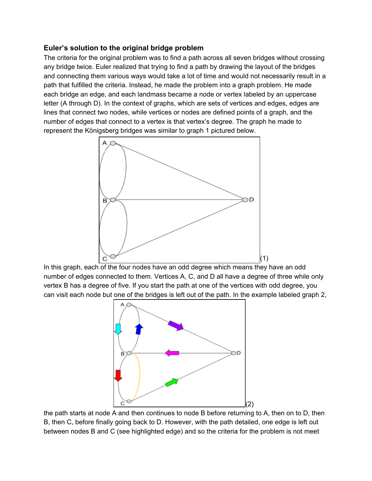## **Euler's solution to the original bridge problem**

The criteria for the original problem was to find a path across all seven bridges without crossing any bridge twice. Euler realized that trying to find a path by drawing the layout of the bridges and connecting them various ways would take a lot of time and would not necessarily result in a path that fulfilled the criteria. Instead, he made the problem into a graph problem. He made each bridge an edge, and each landmass became a node or vertex labeled by an uppercase letter (A through D). In the context of graphs, which are sets of vertices and edges, edges are lines that connect two nodes, while vertices or nodes are defined points of a graph, and the number of edges that connect to a vertex is that vertex's degree. The graph he made to represent the Königsberg bridges was similar to graph 1 pictured below.



In this graph, each of the four nodes have an odd degree which means they have an odd number of edges connected to them. Vertices A, C, and D all have a degree of three while only vertex B has a degree of five. If you start the path at one of the vertices with odd degree, you can visit each node but one of the bridges is left out of the path. In the example labeled graph 2,



the path starts at node A and then continues to node B before returning to A, then on to D, then B, then C, before finally going back to D. However, with the path detailed, one edge is left out between nodes B and C (see highlighted edge) and so the criteria for the problem is not meet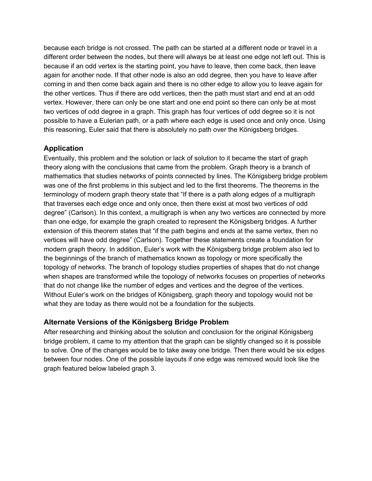because each bridge is not crossed. The path can be started at a different node or travel in a different order between the nodes, but there will always be at least one edge not left out. This is because if an odd vertex is the starting point, you have to leave, then come back, then leave again for another node. If that other node is also an odd degree, then you have to leave after coming in and then come back again and there is no other edge to allow you to leave again for the other vertices. Thus if there are odd vertices, then the path must start and end at an odd vertex. However, there can only be one start and one end point so there can only be at most two vertices of odd degree in a graph. This graph has four vertices of odd degree so it is not possible to have a Eulerian path, or a path where each edge is used once and only once. Using this reasoning, Euler said that there is absolutely no path over the Königsberg bridges.

# **Application**

Eventually, this problem and the solution or lack of solution to it became the start of graph theory along with the conclusions that came from the problem. Graph theory is a branch of mathematics that studies networks of points connected by lines. The Königsberg bridge problem was one of the first problems in this subject and led to the first theorems. The theorems in the terminology of modern graph theory state that "If there is a path along edges of a multigraph that [t](https://www.merriam-webster.com/dictionary/traverses)raverses each edge once and only once, then there exist at most two vertices of odd degree" (Carlson). In this context, a multigraph is when any two vertices are connected by more than one edge, for example the graph created to represent the Königsberg bridges. A further extension of this theorem states that "if the path begins and ends at the same vertex, then no vertices will have odd degree" (Carlson). Together these statements create a foundation for modern graph theory. In addition, Euler's work with the Königsberg bridge problem also led to the beginnings of the branch of mathematics known as topology or more specifically the topology of networks. The branch of topology studies properties of shapes that do not change when shapes are transformed while the topology of networks focuses on properties of networks that do not change like the number of edges and vertices and the degree of the vertices. Without Euler's work on the bridges of Königsberg, graph theory and topology would not be what they are today as there would not be a foundation for the subjects.

# **Alternate Versions of the Königsberg Bridge Problem**

After researching and thinking about the solution and conclusion for the original Königsberg bridge problem, it came to my attention that the graph can be slightly changed so it is possible to solve. One of the changes would be to take away one bridge. Then there would be six edges between four nodes. One of the possible layouts if one edge was removed would look like the graph featured below labeled graph 3.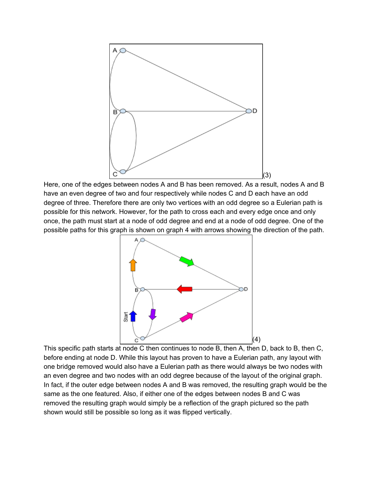

Here, one of the edges between nodes A and B has been removed. As a result, nodes A and B have an even degree of two and four respectively while nodes C and D each have an odd degree of three. Therefore there are only two vertices with an odd degree so a Eulerian path is possible for this network. However, for the path to cross each and every edge once and only once, the path must start at a node of odd degree and end at a node of odd degree. One of the possible paths for this graph is shown on graph 4 with arrows showing the direction of the path.



This specific path starts at node C then continues to node B, then A, then D, back to B, then C, before ending at node D. While this layout has proven to have a Eulerian path, any layout with one bridge removed would also have a Eulerian path as there would always be two nodes with an even degree and two nodes with an odd degree because of the layout of the original graph. In fact, if the outer edge between nodes A and B was removed, the resulting graph would be the same as the one featured. Also, if either one of the edges between nodes B and C was removed the resulting graph would simply be a reflection of the graph pictured so the path shown would still be possible so long as it was flipped vertically.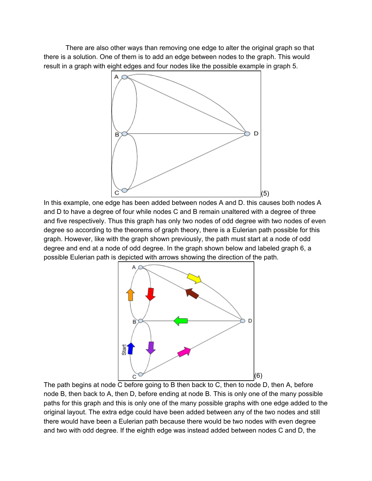There are also other ways than removing one edge to alter the original graph so that there is a solution. One of them is to add an edge between nodes to the graph. This would result in a graph with eight edges and four nodes like the possible example in graph 5.



In this example, one edge has been added between nodes A and D. this causes both nodes A and D to have a degree of four while nodes C and B remain unaltered with a degree of three and five respectively. Thus this graph has only two nodes of odd degree with two nodes of even degree so according to the theorems of graph theory, there is a Eulerian path possible for this graph. However, like with the graph shown previously, the path must start at a node of odd degree and end at a node of odd degree. In the graph shown below and labeled graph 6, a possible Eulerian path is depicted with arrows showing the direction of the path.



The path begins at node C before going to B then back to C, then to node D, then A, before node B, then back to A, then D, before ending at node B. This is only one of the many possible paths for this graph and this is only one of the many possible graphs with one edge added to the original layout. The extra edge could have been added between any of the two nodes and still there would have been a Eulerian path because there would be two nodes with even degree and two with odd degree. If the eighth edge was instead added between nodes C and D, the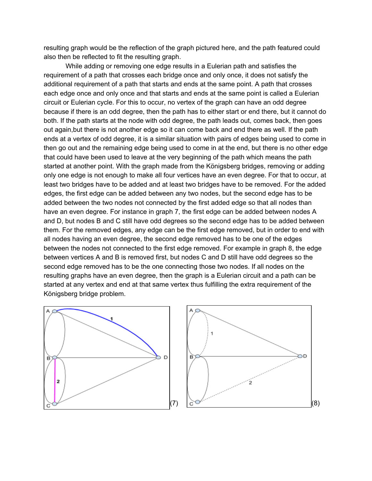resulting graph would be the reflection of the graph pictured here, and the path featured could also then be reflected to fit the resulting graph.

While adding or removing one edge results in a Eulerian path and satisfies the requirement of a path that crosses each bridge once and only once, it does not satisfy the additional requirement of a path that starts and ends at the same point. A path that crosses each edge once and only once and that starts and ends at the same point is called a Eulerian circuit or Eulerian cycle. For this to occur, no vertex of the graph can have an odd degree because if there is an odd degree, then the path has to either start or end there, but it cannot do both. If the path starts at the node with odd degree, the path leads out, comes back, then goes out again,but there is not another edge so it can come back and end there as well. If the path ends at a vertex of odd degree, it is a similar situation with pairs of edges being used to come in then go out and the remaining edge being used to come in at the end, but there is no other edge that could have been used to leave at the very beginning of the path which means the path started at another point. With the graph made from the Königsberg bridges, removing or adding only one edge is not enough to make all four vertices have an even degree. For that to occur, at least two bridges have to be added and at least two bridges have to be removed. For the added edges, the first edge can be added between any two nodes, but the second edge has to be added between the two nodes not connected by the first added edge so that all nodes than have an even degree. For instance in graph 7, the first edge can be added between nodes A and D, but nodes B and C still have odd degrees so the second edge has to be added between them. For the removed edges, any edge can be the first edge removed, but in order to end with all nodes having an even degree, the second edge removed has to be one of the edges between the nodes not connected to the first edge removed. For example in graph 8, the edge between vertices A and B is removed first, but nodes C and D still have odd degrees so the second edge removed has to be the one connecting those two nodes. If all nodes on the resulting graphs have an even degree, then the graph is a Eulerian circuit and a path can be started at any vertex and end at that same vertex thus fulfilling the extra requirement of the Königsberg bridge problem.



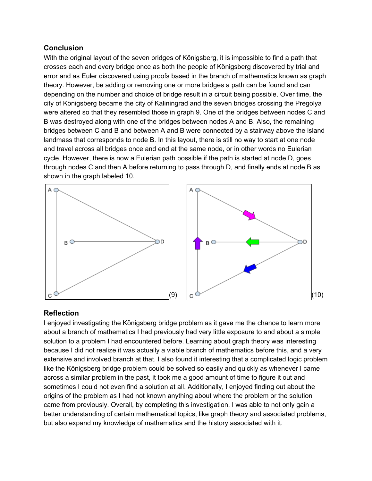## **Conclusion**

With the original layout of the seven bridges of Königsberg, it is impossible to find a path that crosses each and every bridge once as both the people of Königsberg discovered by trial and error and as Euler discovered using proofs based in the branch of mathematics known as graph theory. However, be adding or removing one or more bridges a path can be found and can depending on the number and choice of bridge result in a circuit being possible. Over time, the city of Königsberg became the city of Kaliningrad and the seven bridges crossing the Pregolya were altered so that they resembled those in graph 9. One of the bridges between nodes C and B was destroyed along with one of the bridges between nodes A and B. Also, the remaining bridges between C and B and between A and B were connected by a stairway above the island landmass that corresponds to node B. In this layout, there is still no way to start at one node and travel across all bridges once and end at the same node, or in other words no Eulerian cycle. However, there is now a Eulerian path possible if the path is started at node D, goes through nodes C and then A before returning to pass through D, and finally ends at node B as shown in the graph labeled 10.



### **Reflection**

I enjoyed investigating the Königsberg bridge problem as it gave me the chance to learn more about a branch of mathematics I had previously had very little exposure to and about a simple solution to a problem I had encountered before. Learning about graph theory was interesting because I did not realize it was actually a viable branch of mathematics before this, and a very extensive and involved branch at that. I also found it interesting that a complicated logic problem like the Königsberg bridge problem could be solved so easily and quickly as whenever I came across a similar problem in the past, it took me a good amount of time to figure it out and sometimes I could not even find a solution at all. Additionally, I enjoyed finding out about the origins of the problem as I had not known anything about where the problem or the solution came from previously. Overall, by completing this investigation, I was able to not only gain a better understanding of certain mathematical topics, like graph theory and associated problems, but also expand my knowledge of mathematics and the history associated with it.